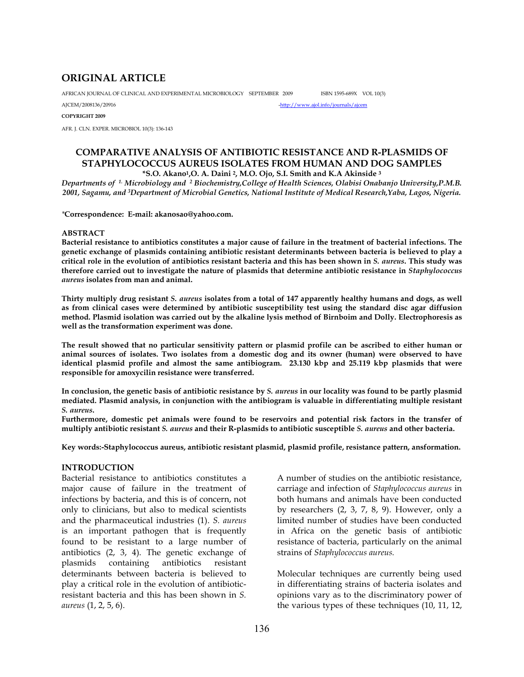# **ORIGINAL ARTICLE**

AFRICAN JOURNAL OF CLINICAL AND EXPERIMENTAL MICROBIOLOGY SEPTEMBER 2009 ISBN 1595-689X VOL 10(3)

AJCEM/2008136/20916 -http://www.ajol.info/journals/ajcem

#### **COPYRIGHT 2009**

AFR. J. CLN. EXPER. MICROBIOL 10(3): 136-143

## **COMPARATIVE ANALYSIS OF ANTIBIOTIC RESISTANCE AND R-PLASMIDS OF STAPHYLOCOCCUS AUREUS ISOLATES FROM HUMAN AND DOG SAMPLES \*S.O. Akano1,O. A. Daini 2, M.O. Ojo, S.I. Smith and K.A Akinside <sup>3</sup>**

*Departments of 1. Microbiology and <sup>2</sup> Biochemistry,College of Health Sciences, Olabisi Onabanjo University,P.M.B. 2001, Sagamu, and <sup>3</sup>Department of Microbial Genetics, National Institute of Medical Research,Yaba, Lagos, Nigeria.* 

*\****Correspondence: E-mail: akanosao@yahoo.com.**

## **ABSTRACT**

**Bacterial resistance to antibiotics constitutes a major cause of failure in the treatment of bacterial infections. The genetic exchange of plasmids containing antibiotic resistant determinants between bacteria is believed to play a critical role in the evolution of antibiotics resistant bacteria and this has been shown in** *S. aureus***. This study was therefore carried out to investigate the nature of plasmids that determine antibiotic resistance in** *Staphylococcus aureus* **isolates from man and animal.** 

**Thirty multiply drug resistant** *S. aureus* **isolates from a total of 147 apparently healthy humans and dogs, as well as from clinical cases were determined by antibiotic susceptibility test using the standard disc agar diffusion method. Plasmid isolation was carried out by the alkaline lysis method of Birnboim and Dolly. Electrophoresis as well as the transformation experiment was done.** 

**The result showed that no particular sensitivity pattern or plasmid profile can be ascribed to either human or animal sources of isolates. Two isolates from a domestic dog and its owner (human) were observed to have identical plasmid profile and almost the same antibiogram. 23.130 kbp and 25.119 kbp plasmids that were responsible for amoxycilin resistance were transferred.** 

**In conclusion, the genetic basis of antibiotic resistance by** *S. aureus* **in our locality was found to be partly plasmid mediated. Plasmid analysis, in conjunction with the antibiogram is valuable in differentiating multiple resistant**  *S. aureus***.** 

**Furthermore, domestic pet animals were found to be reservoirs and potential risk factors in the transfer of multiply antibiotic resistant** *S. aureus* **and their R-plasmids to antibiotic susceptible** *S. aureus* **and other bacteria.** 

**Key words:-Staphylococcus aureus, antibiotic resistant plasmid, plasmid profile, resistance pattern, ansformation.** 

## **INTRODUCTION**

Bacterial resistance to antibiotics constitutes a major cause of failure in the treatment of infections by bacteria, and this is of concern, not only to clinicians, but also to medical scientists and the pharmaceutical industries (1). *S. aureus*  is an important pathogen that is frequently found to be resistant to a large number of antibiotics (2, 3, 4). The genetic exchange of plasmids containing antibiotics resistant determinants between bacteria is believed to play a critical role in the evolution of antibioticresistant bacteria and this has been shown in *S. aureus* (1, 2, 5, 6).

A number of studies on the antibiotic resistance, carriage and infection of *Staphylococcus aureus* in both humans and animals have been conducted by researchers (2, 3, 7, 8, 9). However, only a limited number of studies have been conducted in Africa on the genetic basis of antibiotic resistance of bacteria, particularly on the animal strains of *Staphylococcus aureus.* 

Molecular techniques are currently being used in differentiating strains of bacteria isolates and opinions vary as to the discriminatory power of the various types of these techniques (10, 11, 12,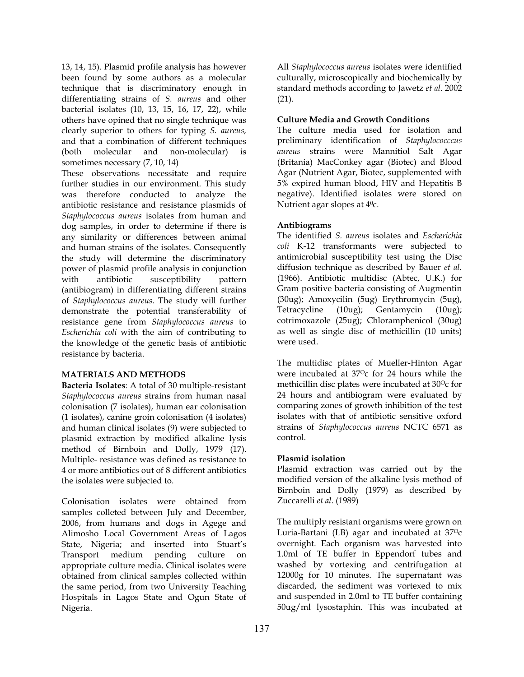13, 14, 15). Plasmid profile analysis has however been found by some authors as a molecular technique that is discriminatory enough in differentiating strains of *S. aureus* and other bacterial isolates (10, 13, 15, 16, 17, 22), while others have opined that no single technique was clearly superior to others for typing *S. aureus,* and that a combination of different techniques (both molecular and non-molecular) is sometimes necessary  $(7, 10, 14)$ 

These observations necessitate and require further studies in our environment. This study was therefore conducted to analyze the antibiotic resistance and resistance plasmids of *Staphylococcus aureus* isolates from human and dog samples, in order to determine if there is any similarity or differences between animal and human strains of the isolates. Consequently the study will determine the discriminatory power of plasmid profile analysis in conjunction with antibiotic susceptibility pattern (antibiogram) in differentiating different strains of *Staphylococcus aureus.* The study will further demonstrate the potential transferability of resistance gene from *Staphylococcus aureus* to *Escherichia coli* with the aim of contributing to the knowledge of the genetic basis of antibiotic resistance by bacteria.

## **MATERIALS AND METHODS**

**Bacteria Isolates**: A total of 30 multiple-resistant *Staphylococcus aureus* strains from human nasal colonisation (7 isolates), human ear colonisation (1 isolates), canine groin colonisation (4 isolates) and human clinical isolates (9) were subjected to plasmid extraction by modified alkaline lysis method of Birnboin and Dolly, 1979 (17). Multiple- resistance was defined as resistance to 4 or more antibiotics out of 8 different antibiotics the isolates were subjected to.

Colonisation isolates were obtained from samples colleted between July and December, 2006, from humans and dogs in Agege and Alimosho Local Government Areas of Lagos State, Nigeria; and inserted into Stuart's Transport medium pending culture on appropriate culture media. Clinical isolates were obtained from clinical samples collected within the same period, from two University Teaching Hospitals in Lagos State and Ogun State of Nigeria.

All *Staphylococcus aureus* isolates were identified culturally, microscopically and biochemically by standard methods according to Jawetz *et al*. 2002 (21).

## **Culture Media and Growth Conditions**

The culture media used for isolation and preliminary identification of *Staphylococccus aureus* strains were Mannitiol Salt Agar (Britania) MacConkey agar (Biotec) and Blood Agar (Nutrient Agar, Biotec, supplemented with 5% expired human blood, HIV and Hepatitis B negative). Identified isolates were stored on Nutrient agar slopes at 4<sup>0</sup>c.

# **Antibiograms**

The identified *S. aureus* isolates and *Escherichia coli* K-12 transformants were subjected to antimicrobial susceptibility test using the Disc diffusion technique as described by Bauer *et al.*  (1966). Antibiotic multidisc (Abtec, U.K.) for Gram positive bacteria consisting of Augmentin (30ug); Amoxycilin (5ug) Erythromycin (5ug), Tetracycline (10ug); Gentamycin (10ug); cotrimoxazole (25ug); Chloramphenicol (30ug) as well as single disc of methicillin (10 units) were used.

The multidisc plates of Mueller-Hinton Agar were incubated at 37<sup>o</sup>c for 24 hours while the methicillin disc plates were incubated at 30<sup>o</sup>c for 24 hours and antibiogram were evaluated by comparing zones of growth inhibition of the test isolates with that of antibiotic sensitive oxford strains of *Staphylococcus aureus* NCTC 6571 as control.

## **Plasmid isolation**

Plasmid extraction was carried out by the modified version of the alkaline lysis method of Birnboin and Dolly (1979) as described by Zuccarelli *et al*. (1989)

The multiply resistant organisms were grown on Luria-Bartani (LB) agar and incubated at  $37^{\circ}$ c overnight. Each organism was harvested into 1.0ml of TE buffer in Eppendorf tubes and washed by vortexing and centrifugation at 12000g for 10 minutes. The supernatant was discarded, the sediment was vortexed to mix and suspended in 2.0ml to TE buffer containing 50ug/ml lysostaphin. This was incubated at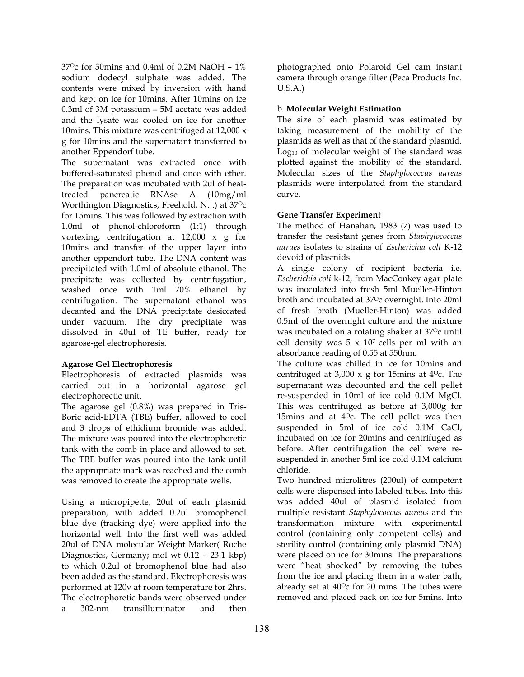$37^{\circ}$ c for 30mins and 0.4ml of 0.2M NaOH - 1% sodium dodecyl sulphate was added. The contents were mixed by inversion with hand and kept on ice for 10mins. After 10mins on ice 0.3ml of 3M potassium – 5M acetate was added and the lysate was cooled on ice for another 10mins. This mixture was centrifuged at 12,000 x g for 10mins and the supernatant transferred to another Eppendorf tube.

The supernatant was extracted once with buffered-saturated phenol and once with ether. The preparation was incubated with 2ul of heattreated pancreatic RNAse A (10mg/ml Worthington Diagnostics, Freehold, N.J.) at 37°C for 15mins. This was followed by extraction with 1.0ml of phenol-chloroform (1:1) through vortexing, centrifugation at 12,000 x g for 10mins and transfer of the upper layer into another eppendorf tube. The DNA content was precipitated with 1.0ml of absolute ethanol. The precipitate was collected by centrifugation, washed once with 1ml 70% ethanol by centrifugation. The supernatant ethanol was decanted and the DNA precipitate desiccated under vacuum. The dry precipitate was dissolved in 40ul of TE buffer, ready for agarose-gel electrophoresis.

# **Agarose Gel Electrophoresis**

Electrophoresis of extracted plasmids was carried out in a horizontal agarose gel electrophorectic unit.

The agarose gel (0.8%) was prepared in Tris-Boric acid-EDTA (TBE) buffer, allowed to cool and 3 drops of ethidium bromide was added. The mixture was poured into the electrophoretic tank with the comb in place and allowed to set. The TBE buffer was poured into the tank until the appropriate mark was reached and the comb was removed to create the appropriate wells.

Using a micropipette, 20ul of each plasmid preparation, with added 0.2ul bromophenol blue dye (tracking dye) were applied into the horizontal well. Into the first well was added 20ul of DNA molecular Weight Marker( Roche Diagnostics, Germany; mol wt 0.12 – 23.1 kbp) to which 0.2ul of bromophenol blue had also been added as the standard. Electrophoresis was performed at 120v at room temperature for 2hrs. The electrophoretic bands were observed under a 302-nm transilluminator and then

photographed onto Polaroid Gel cam instant camera through orange filter (Peca Products Inc. U.S.A.)

## b. **Molecular Weight Estimation**

The size of each plasmid was estimated by taking measurement of the mobility of the plasmids as well as that of the standard plasmid. Log10 of molecular weight of the standard was plotted against the mobility of the standard. Molecular sizes of the *Staphylococcus aureus*  plasmids were interpolated from the standard curve.

# **Gene Transfer Experiment**

The method of Hanahan, 1983 (7) was used to transfer the resistant genes from *Staphylococcus aurues* isolates to strains of *Escherichia coli* K-12 devoid of plasmids

A single colony of recipient bacteria i.e. *Escherichia coli* k-12, from MacConkey agar plate was inoculated into fresh 5ml Mueller-Hinton broth and incubated at 37<sup>o</sup>c overnight. Into 20ml of fresh broth (Mueller-Hinton) was added 0.5ml of the overnight culture and the mixture was incubated on a rotating shaker at 37<sup>o</sup>c until cell density was  $5 \times 10^7$  cells per ml with an absorbance reading of 0.55 at 550nm.

The culture was chilled in ice for 10mins and centrifuged at  $3,000 \times g$  for 15mins at 4<sup>o</sup>c. The supernatant was decounted and the cell pellet re-suspended in 10ml of ice cold 0.1M MgCl. This was centrifuged as before at 3,000g for 15mins and at 4 $\degree$ c. The cell pellet was then suspended in 5ml of ice cold 0.1M CaCl, incubated on ice for 20mins and centrifuged as before. After centrifugation the cell were resuspended in another 5ml ice cold 0.1M calcium chloride.

Two hundred microlitres (200ul) of competent cells were dispensed into labeled tubes. Into this was added 40ul of plasmid isolated from multiple resistant *Staphylococcus aureus* and the transformation mixture with experimental control (containing only competent cells) and sterility control (containing only plasmid DNA) were placed on ice for 30mins. The preparations were "heat shocked" by removing the tubes from the ice and placing them in a water bath, already set at  $40^{\circ}$ c for 20 mins. The tubes were removed and placed back on ice for 5mins. Into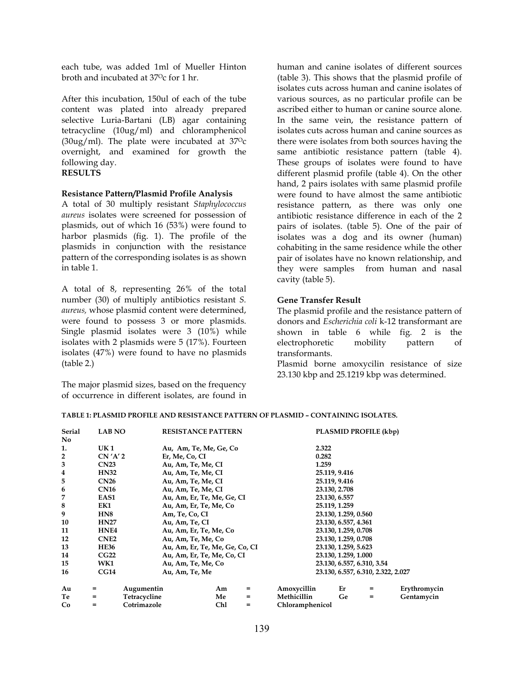each tube, was added 1ml of Mueller Hinton broth and incubated at 37<sup>O</sup>c for 1 hr.

After this incubation, 150ul of each of the tube content was plated into already prepared selective Luria-Bartani (LB) agar containing tetracycline (10ug/ml) and chloramphenicol (30ug/ml). The plate were incubated at  $37^{\circ}$ c overnight, and examined for growth the following day. **RESULTS** 

# **Resistance Pattern/Plasmid Profile Analysis**

A total of 30 multiply resistant *Staphylococcus aureus* isolates were screened for possession of plasmids, out of which 16 (53%) were found to harbor plasmids (fig. 1). The profile of the plasmids in conjunction with the resistance pattern of the corresponding isolates is as shown in table 1.

A total of 8, representing 26% of the total number (30) of multiply antibiotics resistant *S. aureus,* whose plasmid content were determined, were found to possess 3 or more plasmids. Single plasmid isolates were 3 (10%) while isolates with 2 plasmids were 5 (17%). Fourteen isolates (47%) were found to have no plasmids (table 2.)

The major plasmid sizes, based on the frequency of occurrence in different isolates, are found in

human and canine isolates of different sources (table 3). This shows that the plasmid profile of isolates cuts across human and canine isolates of various sources, as no particular profile can be ascribed either to human or canine source alone. In the same vein, the resistance pattern of isolates cuts across human and canine sources as there were isolates from both sources having the same antibiotic resistance pattern (table 4). These groups of isolates were found to have different plasmid profile (table 4). On the other hand, 2 pairs isolates with same plasmid profile were found to have almost the same antibiotic resistance pattern, as there was only one antibiotic resistance difference in each of the 2 pairs of isolates. (table 5). One of the pair of isolates was a dog and its owner (human) cohabiting in the same residence while the other pair of isolates have no known relationship, and they were samples from human and nasal cavity (table 5).

## **Gene Transfer Result**

The plasmid profile and the resistance pattern of donors and *Escherichia coli* k-12 transformant are shown in table 6 while fig. 2 is the electrophoretic mobility pattern of transformants.

Plasmid borne amoxycilin resistance of size 23.130 kbp and 25.1219 kbp was determined.

## **TABLE 1: PLASMID PROFILE AND RESISTANCE PATTERN OF PLASMID – CONTAINING ISOLATES.**

| <b>Serial</b>           | <b>LAB NO</b>   |              | <b>RESISTANCE PATTERN</b>      |  | PLASMID PROFILE (kbp) |                 |       |                                    |     |  |              |
|-------------------------|-----------------|--------------|--------------------------------|--|-----------------------|-----------------|-------|------------------------------------|-----|--|--------------|
| No                      |                 |              |                                |  |                       |                 |       |                                    |     |  |              |
| 1.                      | UK 1            |              | Au, Am, Te, Me, Ge, Co         |  |                       |                 | 2.322 |                                    |     |  |              |
| $\overline{2}$          | CN'A'2          |              | Er, Me, Co, CI                 |  |                       | 0.282           |       |                                    |     |  |              |
| 3                       | CN23            |              | Au, Am, Te, Me, CI             |  |                       | 1.259           |       |                                    |     |  |              |
| $\overline{\mathbf{4}}$ | <b>HN32</b>     |              | Au, Am, Te, Me, CI             |  |                       | 25.119, 9.416   |       |                                    |     |  |              |
| 5                       | CN26            |              | Au, Am, Te, Me, CI             |  |                       | 25.119, 9.416   |       |                                    |     |  |              |
| 6                       | <b>CN16</b>     |              | Au, Am, Te, Me, CI             |  |                       | 23.130, 2.708   |       |                                    |     |  |              |
| 7                       | EAS1            |              | Au, Am, Er, Te, Me, Ge, CI     |  |                       | 23.130, 6.557   |       |                                    |     |  |              |
| 8                       | EK1             |              | Au, Am, Er, Te, Me, Co         |  |                       |                 |       | 25.119, 1.259                      |     |  |              |
| 9                       | HN <sub>8</sub> |              | Am, Te, Co, CI                 |  |                       |                 |       | 23.130, 1.259, 0.560               |     |  |              |
| 10                      | <b>HN27</b>     |              | Au, Am, Te, CI                 |  |                       |                 |       | 23.130, 6.557, 4.361               |     |  |              |
| 11                      | <b>HNE4</b>     |              | Au, Am, Er, Te, Me, Co         |  |                       |                 |       | 23.130, 1.259, 0.708               |     |  |              |
| 12                      | <b>CNE2</b>     |              | Au, Am, Te, Me, Co             |  |                       |                 |       | 23.130, 1.259, 0.708               |     |  |              |
| 13                      | <b>HE36</b>     |              | Au, Am, Er, Te, Me, Ge, Co, CI |  |                       |                 |       | 23.130, 1.259, 5.623               |     |  |              |
| 14                      | CG22            |              | Au, Am, Er, Te, Me, Co, CI     |  |                       |                 |       | 23.130, 1.259, 1.000               |     |  |              |
| 15                      | WK1             |              | Au, Am, Te, Me, Co             |  |                       |                 |       | 23.130, 6.557, 6.310, 3.54         |     |  |              |
| 16                      | CG14            |              | Au, Am, Te, Me                 |  |                       |                 |       | 23.130, 6.557, 6.310, 2.322, 2.027 |     |  |              |
| Au                      | =               | Augumentin   | Am                             |  | =                     | Amoxycillin     |       | Er                                 | $=$ |  | Erythromycin |
| Te                      | $=$             | Tetracycline | Me                             |  | =                     | Methicillin     |       | Ge                                 | =   |  | Gentamycin   |
| Co                      | $=$             | Cotrimazole  | Chl                            |  | $=$                   | Chloramphenicol |       |                                    |     |  |              |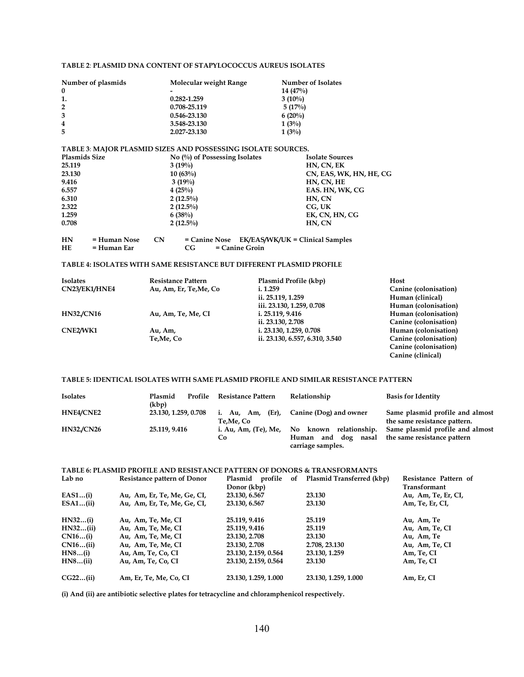| Number of plasmids   | Molecular weight Range                                              | <b>Number of Isolates</b> |
|----------------------|---------------------------------------------------------------------|---------------------------|
| $\bf{0}$             |                                                                     | 14 $(47\%)$               |
| 1.                   | 0.282-1.259                                                         | $3(10\%)$                 |
| $\overline{2}$       | 0.708-25.119                                                        | $5(17\%)$                 |
| 3                    | 0.546-23.130                                                        | $6(20\%)$                 |
| 4                    | 3.548-23.130                                                        | $1(3\%)$                  |
| 5                    | 2.027-23.130                                                        | $1(3\%)$                  |
|                      | <b>TABLE 3: MAJOR PLASMID SIZES AND POSSESSING ISOLATE SOURCES.</b> |                           |
| <b>Plasmids Size</b> | No $(\%)$ of Possessing Isolates                                    | <b>Isolate Sources</b>    |
| 25.119               | $3(19\%)$                                                           | HN. CN. EK                |
| 23.130               | $10(63\%)$                                                          | CN, EAS, WK, HN, HE, CG   |
| 9.416                | $3(19\%)$                                                           | HN, CN, HE                |
| 6.557                | 4(25%)                                                              | EAS. HN, WK, CG           |
| 6.310                | $2(12.5\%)$                                                         | HN, CN                    |

## **TABLE 2**: **PLASMID DNA CONTENT OF STAPYLOCOCCUS AUREUS ISOLATES**

| HN | = Human Nose |    | = Canine Nose EK/EAS/WK/UK = Clinical Samples |
|----|--------------|----|-----------------------------------------------|
| HE | = Human Ear  | CG | = Canine Groin                                |

## **TABLE 4: ISOLATES WITH SAME RESISTANCE BUT DIFFERENT PLASMID PROFILE**

**6.310 2** (12.5%) **HN, CN 2.322 2** (12.5%) **2** (12.5%)

**2.322 2** (12.5%)<br> **1.259 6** (38%)

**0.708 2** (12.5%)

| <b>Isolates</b>   | <b>Resistance Pattern</b> | Plasmid Profile (kbp)           | <b>Host</b>           |
|-------------------|---------------------------|---------------------------------|-----------------------|
| CN23/EK1/HNE4     | Au, Am, Er, Te, Me, Co    | i. 1.259                        | Canine (colonisation) |
|                   |                           | ii. 25.119, 1.259               | Human (clinical)      |
|                   |                           | iii. 23.130, 1.259, 0.708       | Human (colonisation)  |
| <b>HN32./CN16</b> | Au, Am, Te, Me, CI        | i. $25.119.9.416$               | Human (colonisation)  |
|                   |                           | ii. 23.130, 2.708               | Canine (colonisation) |
| <b>CNE2/WK1</b>   | Au, Am,                   | i. 23.130, 1.259, 0.708         | Human (colonisation)  |
|                   | Te, Me, Co                | ii. 23.130, 6.557, 6.310, 3.540 | Canine (colonisation) |
|                   |                           |                                 | Canine (colonisation) |

**1.259 6 (38%) EK, CN, HN, CG** 

**Canine (clinical)** 

#### **TABLE 5: IDENTICAL ISOLATES WITH SAME PLASMID PROFILE AND SIMILAR RESISTANCE PATTERN**

| <b>Isolates</b>   | Profile<br>Plasmid<br>(kbp) | Resistance Pattern                   | Relationship                                                       | <b>Basis for Identity</b>                                       |
|-------------------|-----------------------------|--------------------------------------|--------------------------------------------------------------------|-----------------------------------------------------------------|
| <b>HNE4/CNE2</b>  | 23.130, 1.259, 0.708        | $(Er)$ ,<br>i. Au., Am.<br>Te,Me, Co | Canine (Dog) and owner                                             | Same plasmid profile and almost<br>the same resistance pattern. |
| <b>HN32./CN26</b> | 25.119, 9.416               | i. Au, Am, (Te), Me,<br>Co.          | No known relationship.<br>Human and dog nasal<br>carriage samples. | Same plasmid profile and almost<br>the same resistance pattern  |

# **TABLE 6: PLASMID PROFILE AND RESISTANCE PATTERN OF DONORS & TRANSFORMANTS**

| Lab no              | Resistance pattern of Donor | Plasmid<br>profile<br>of | Plasmid Transferred (kbp) | Resistance Pattern of |
|---------------------|-----------------------------|--------------------------|---------------------------|-----------------------|
|                     |                             | Donor (kbp)              |                           | Transformant          |
| EAS1(i)             | Au, Am, Er, Te, Me, Ge, CI, | 23.130, 6.567            | 23.130                    | Au, Am, Te, Er, CI,   |
| $ESA1$ (ii)         | Au, Am, Er, Te, Me, Ge, CI, | 23.130, 6.567            | 23.130                    | Am, Te, Er, CI,       |
| HN32(i)             | Au, Am, Te, Me, CI          | 25.119, 9.416            | 25.119                    | Au, Am, Te            |
| HN32(ii)            | Au, Am, Te, Me, CI          | 25.119, 9.416            | 25.119                    | Au, Am, Te, CI        |
| $CN16$ (i)          | Au, Am, Te, Me, CI          | 23.130, 2.708            | 23.130                    | Au, Am, Te            |
| $CN16$ (ii)         | Au, Am, Te, Me, CI          | 23.130, 2.708            | 2.708, 23.130             | Au, Am, Te, CI        |
| H N8(i)             | Au, Am, Te, Co, CI          | 23.130, 2.159, 0.564     | 23.130, 1.259             | Am, Te, CI            |
| H <sub>N8(ii)</sub> | Au, Am, Te, Co, CI          | 23.130, 2.159, 0.564     | 23.130                    | Am, Te, CI            |
| $CG22$ (ii)         | Am, Er, Te, Me, Co, CI      | 23.130, 1.259, 1.000     | 23.130, 1.259, 1.000      | Am, Er, CI            |

**(i) And (ii) are antibiotic selective plates for tetracycline and chloramphenicol respectively.**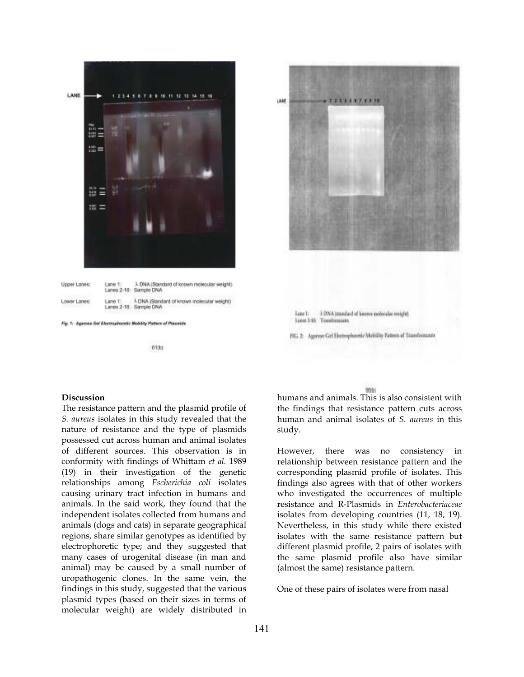

Fig. 1: Agarose Out Electrophorodic Mobility Pattern of Plasmids

otibi

# 1448 Line Li 3. COLA (standard of historic profecular trought) Lance 2-90. Transitionalists FIG. 2: Agenue Gel Elwinsphansk Mability Pattern of Transformate

#### **Discussion**

The resistance pattern and the plasmid profile of *S. aureus* isolates in this study revealed that the nature of resistance and the type of plasmids possessed cut across human and animal isolates of different sources. This observation is in conformity with findings of Whittam *et al.* 1989 (19) in their investigation of the genetic relationships among *Escherichia coli* isolates causing urinary tract infection in humans and animals. In the said work, they found that the independent isolates collected from humans and animals (dogs and cats) in separate geographical regions, share similar genotypes as identified by electrophoretic type; and they suggested that many cases of urogenital disease (in man and animal) may be caused by a small number of uropathogenic clones. In the same vein, the findings in this study, suggested that the various plasmid types (based on their sizes in terms of molecular weight) are widely distributed in

6911

humans and animals. This is also consistent with the findings that resistance pattern cuts across human and animal isolates of *S. aureus* in this study.

However, there was no consistency in relationship between resistance pattern and the corresponding plasmid profile of isolates. This findings also agrees with that of other workers who investigated the occurrences of multiple resistance and R-Plasmids in *Enterobacteriaceae* isolates from developing countries (11, 18, 19). Nevertheless, in this study while there existed isolates with the same resistance pattern but different plasmid profile, 2 pairs of isolates with the same plasmid profile also have similar (almost the same) resistance pattern.

One of these pairs of isolates were from nasal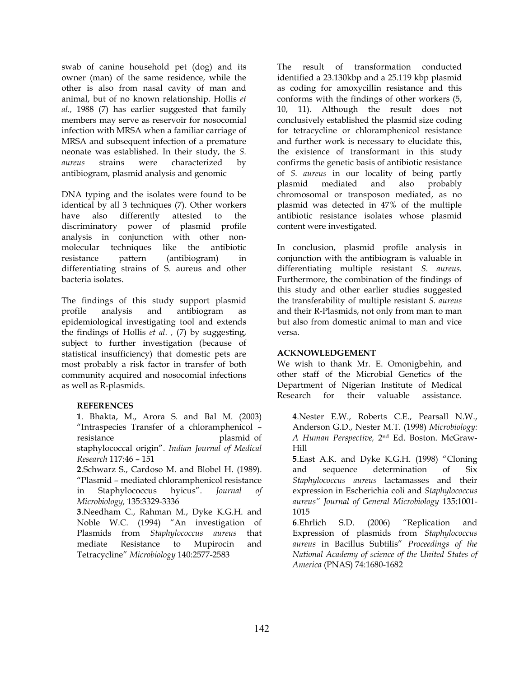swab of canine household pet (dog) and its owner (man) of the same residence, while the other is also from nasal cavity of man and animal, but of no known relationship. Hollis *et al.,* 1988 (7) has earlier suggested that family members may serve as reservoir for nosocomial infection with MRSA when a familiar carriage of MRSA and subsequent infection of a premature neonate was established. In their study, the *S. aureus* strains were characterized by antibiogram, plasmid analysis and genomic

DNA typing and the isolates were found to be identical by all 3 techniques (7). Other workers have also differently attested to the discriminatory power of plasmid profile analysis in conjunction with other nonmolecular techniques like the antibiotic resistance pattern (antibiogram) in differentiating strains of S. aureus and other bacteria isolates.

The findings of this study support plasmid profile analysis and antibiogram as epidemiological investigating tool and extends the findings of Hollis *et al. ,* (7) by suggesting, subject to further investigation (because of statistical insufficiency) that domestic pets are most probably a risk factor in transfer of both community acquired and nosocomial infections as well as R-plasmids.

## **REFERENCES**

**1**. Bhakta, M., Arora S. and Bal M. (2003) "Intraspecies Transfer of a chloramphenicol – resistance plasmid of staphylococcal origin". *Indian Journal of Medical Research* 117:46 – 151 **2**.Schwarz S., Cardoso M. and Blobel H. (1989).

"Plasmid – mediated chloramphenicol resistance in Staphylococcus hyicus". *Journal of Microbiology,* 135:3329-3336

**3**.Needham C., Rahman M., Dyke K.G.H. and Noble W.C. (1994) "An investigation of Plasmids from *Staphylococcus aureus* that mediate Resistance to Mupirocin and Tetracycline" *Microbiology* 140:2577-2583

The result of transformation conducted identified a 23.130kbp and a 25.119 kbp plasmid as coding for amoxycillin resistance and this conforms with the findings of other workers (5, 10, 11). Although the result does not conclusively established the plasmid size coding for tetracycline or chloramphenicol resistance and further work is necessary to elucidate this, the existence of transformant in this study confirms the genetic basis of antibiotic resistance of *S. aureus* in our locality of being partly plasmid mediated and also probably chromosomal or transposon mediated, as no plasmid was detected in 47% of the multiple antibiotic resistance isolates whose plasmid content were investigated.

In conclusion, plasmid profile analysis in conjunction with the antibiogram is valuable in differentiating multiple resistant *S. aureus.*  Furthermore, the combination of the findings of this study and other earlier studies suggested the transferability of multiple resistant *S. aureus* and their R-Plasmids, not only from man to man but also from domestic animal to man and vice versa.

## **ACKNOWLEDGEMENT**

We wish to thank Mr. E. Omonigbehin, and other staff of the Microbial Genetics of the Department of Nigerian Institute of Medical Research for their valuable assistance.

**4**.Nester E.W., Roberts C.E., Pearsall N.W., Anderson G.D., Nester M.T. (1998) *Microbiology: A Human Perspective,* 2 nd Ed. Boston. McGraw-Hill

**5**.East A.K. and Dyke K.G.H. (1998) "Cloning and sequence determination of Six *Staphylococcus aureus* lactamasses and their expression in Escherichia coli and *Staphylococcus aureus" Journal of General Microbiology* 135:1001- 1015

**6**.Ehrlich S.D. (2006) "Replication and Expression of plasmids from *Staphylococcus aureus* in Bacillus Subtilis" *Proceedings of the National Academy of science of the United States of America* (PNAS) 74:1680-1682